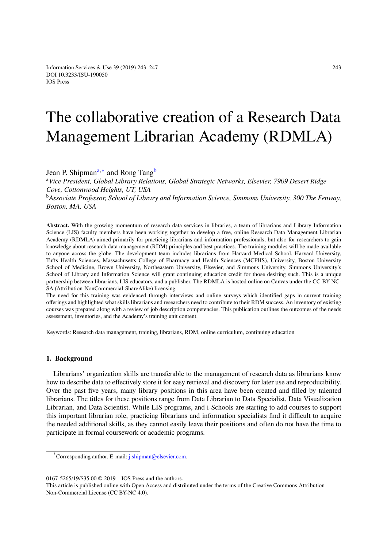# T[he collab](http://dx.doi.org/10.3233/ISU-190050)orative creation of a Research Data Management Librarian Academy (RDMLA)

Jean P. Shipman<sup>a,∗</sup> and Rong Tang<sup>b</sup>

<sup>a</sup>*Vice President, Global Library Relations, Global Strategic Networks, Elsevier, 7909 Desert Ridge Cove, Cottonwood Heights, UT, USA*

<sup>b</sup>*Associate Profes[s](#page-0-0)[or](#page-0-1), School of Libra[ry](#page-0-2) and Information Science, Simmons University, 300 The Fenway, Boston, MA, USA*

<span id="page-0-2"></span><span id="page-0-0"></span>**Abstract.** With the growing momentum of research data services in libraries, a team of librarians and Library Information Science (LIS) faculty members have been working together to develop a free, online Research Data Management Librarian Academy (RDMLA) aimed primarily for practicing librarians and information professionals, but also for researchers to gain knowledge about research data management (RDM) principles and best practices. The training modules will be made available to anyone across the globe. The development team includes librarians from Harvard Medical School, Harvard University, Tufts Health Sciences, Massachusetts College of Pharmacy and Health Sciences (MCPHS), University, Boston University School of Medicine, Brown University, Northeastern University, Elsevier, and Simmons University. Simmons University's School of Library and Information Science will grant continuing education credit for those desiring such. This is a unique partnership between librarians, LIS educators, and a publisher. The RDMLA is hosted online on Canvas under the CC-BY-NC-SA (Attribution-NonCommercial-ShareAlike) licensing.

The need for this training was evidenced through interviews and online surveys which identified gaps in current training offerings and highlighted what skills librarians and researchers need to contribute to their RDM success. An inventory of existing courses was prepared along with a review of job description competencies. This publication outlines the outcomes of the needs assessment, inventories, and the Academy's training unit content.

Keywords: Research data management, training, librarians, RDM, online curriculum, continuing education

#### **1. Background**

Librarians' organization skills are transferable to the management of research data as librarians know how to describe data to effectively store it for easy retrieval and discovery for later use and reproducibility. Over the past five years, many library positions in this area have been created and filled by talented librarians. The titles for these positions range from Data Librarian to Data Specialist, Data Visualization Librarian, and Data Scientist. While LIS programs, and i-Schools are starting to add courses to support this important librarian role, practicing librarians and information specialists find it difficult to acquire the needed additional skills, as they cannot easily leave their positions and often do not have the time to participate in formal coursework or academic programs.

<sup>\*</sup>Corresponding author. E-mail: j.shipman@elsevier.com.

<sup>0167-5265/19/\$35.00 © 2019 –</sup> IOS Press and the authors.

<span id="page-0-1"></span>This article is published online wit[h Open Access and distrib](mailto:j.shipman@elsevier.com)uted under the terms of the Creative Commons Attribution Non-Commercial License (CC BY-NC 4.0).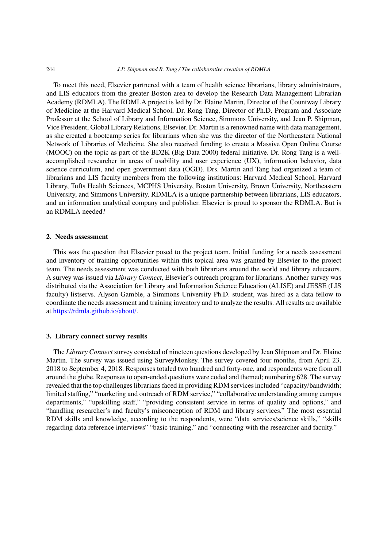To meet this need, Elsevier partnered with a team of health science librarians, library administrators, and LIS educators from the greater Boston area to develop the Research Data Management Librarian Academy (RDMLA). The RDMLA project is led by Dr. Elaine Martin, Director of the Countway Library of Medicine at the Harvard Medical School, Dr. Rong Tang, Director of Ph.D. Program and Associate Professor at the School of Library and Information Science, Simmons University, and Jean P. Shipman, Vice President, Global Library Relations, Elsevier. Dr. Martin is a renowned name with data management, as she created a bootcamp series for librarians when she was the director of the Northeastern National Network of Libraries of Medicine. She also received funding to create a Massive Open Online Course (MOOC) on the topic as part of the BD2K (Big Data 2000) federal initiative. Dr. Rong Tang is a wellaccomplished researcher in areas of usability and user experience (UX), information behavior, data science curriculum, and open government data (OGD). Drs. Martin and Tang had organized a team of librarians and LIS faculty members from the following institutions: Harvard Medical School, Harvard Library, Tufts Health Sciences, MCPHS University, Boston University, Brown University, Northeastern University, and Simmons University. RDMLA is a unique partnership between librarians, LIS educators, and an information analytical company and publisher. Elsevier is proud to sponsor the RDMLA. But is an RDMLA needed?

### **2. Needs assessment**

This was the question that Elsevier posed to the project team. Initial funding for a needs assessment and inventory of training opportunities within this topical area was granted by Elsevier to the project team. The needs assessment was conducted with both librarians around the world and library educators. A survey was issued via *Library Connect*, Elsevier's outreach program for librarians. Another survey was distributed via the Association for Library and Information Science Education (ALISE) and JESSE (LIS faculty) listservs. Alyson Gamble, a Simmons University Ph.D. student, was hired as a data fellow to coordinate the needs assessment and training inventory and to analyze the results. All results are available at https://rdmla.github.io/about/.

# **3. Library connect survey results**

The *Library Connect* survey consisted of nineteen questions developed by Jean Shipman and Dr. Elaine Martin. The survey was issued using SurveyMonkey. The survey covered four months, from April 23, 2018 to September 4, 2018. Responses totaled two hundred and forty-one, and respondents were from all around the globe. Responses to open-ended questions were coded and themed; numbering 628. The survey revealed that the top challenges librarians faced in providing RDM services included "capacity/bandwidth; limited staffing," "marketing and outreach of RDM service," "collaborative understanding among campus departments," "upskilling staff," "providing consistent service in terms of quality and options," and "handling researcher's and faculty's misconception of RDM and library services." The most essential RDM skills and knowledge, according to the respondents, were "data services/science skills," "skills regarding data reference interviews" "basic training," and "connecting with the researcher and faculty."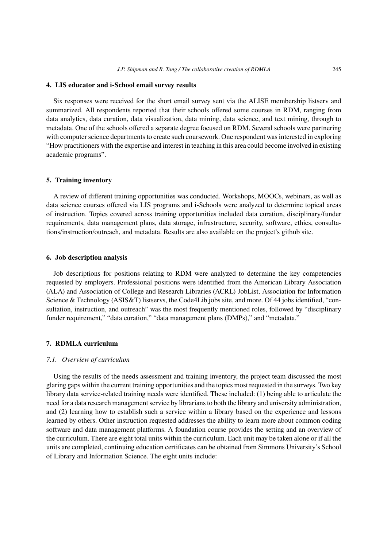#### **4. LIS educator and i-School email survey results**

Six responses were received for the short email survey sent via the ALISE membership listserv and summarized. All respondents reported that their schools offered some courses in RDM, ranging from data analytics, data curation, data visualization, data mining, data science, and text mining, through to metadata. One of the schools offered a separate degree focused on RDM. Several schools were partnering with computer science departments to create such coursework. One respondent was interested in exploring "How practitioners with the expertise and interest in teaching in this area could become involved in existing academic programs".

## **5. Training inventory**

A review of different training opportunities was conducted. Workshops, MOOCs, webinars, as well as data science courses offered via LIS programs and i-Schools were analyzed to determine topical areas of instruction. Topics covered across training opportunities included data curation, disciplinary/funder requirements, data management plans, data storage, infrastructure, security, software, ethics, consultations/instruction/outreach, and metadata. Results are also available on the project's github site.

# **6. Job description analysis**

Job descriptions for positions relating to RDM were analyzed to determine the key competencies requested by employers. Professional positions were identified from the American Library Association (ALA) and Association of College and Research Libraries (ACRL) JobList, Association for Information Science & Technology (ASIS&T) listservs, the Code4Lib jobs site, and more. Of 44 jobs identified, "consultation, instruction, and outreach" was the most frequently mentioned roles, followed by "disciplinary funder requirement," "data curation," "data management plans (DMPs)," and "metadata."

## **7. RDMLA curriculum**

## *7.1. Overview of curriculum*

Using the results of the needs assessment and training inventory, the project team discussed the most glaring gaps within the current training opportunities and the topics most requested in the surveys. Two key library data service-related training needs were identified. These included: (1) being able to articulate the need for a data research management service by librarians to both the library and university administration, and (2) learning how to establish such a service within a library based on the experience and lessons learned by others. Other instruction requested addresses the ability to learn more about common coding software and data management platforms. A foundation course provides the setting and an overview of the curriculum. There are eight total units within the curriculum. Each unit may be taken alone or if all the units are completed, continuing education certificates can be obtained from Simmons University's School of Library and Information Science. The eight units include: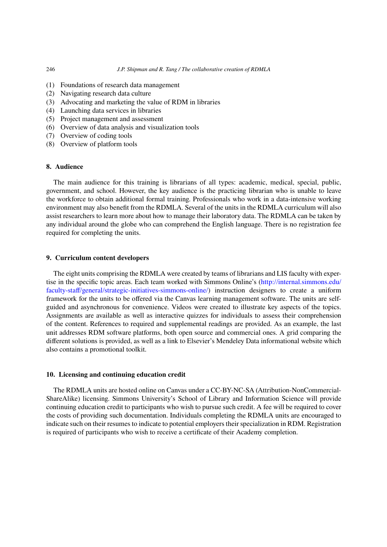- (1) Foundations of research data management
- (2) Navigating research data culture
- (3) Advocating and marketing the value of RDM in libraries
- (4) Launching data services in libraries
- (5) Project management and assessment
- (6) Overview of data analysis and visualization tools
- (7) Overview of coding tools
- (8) Overview of platform tools

## **8. Audience**

The main audience for this training is librarians of all types: academic, medical, special, public, government, and school. However, the key audience is the practicing librarian who is unable to leave the workforce to obtain additional formal training. Professionals who work in a data-intensive working environment may also benefit from the RDMLA. Several of the units in the RDMLA curriculum will also assist researchers to learn more about how to manage their laboratory data. The RDMLA can be taken by any individual around the globe who can comprehend the English language. There is no registration fee required for completing the units.

## **9. Curriculum content developers**

The eight units comprising the RDMLA were created by teams of librarians and LIS faculty with expertise in the specific topic areas. Each team worked with Simmons Online's (http://internal.simmons.edu/ faculty-staff/general/strategic-initiatives-simmons-online/) instruction designers to create a uniform framework for the units to be offered via the Canvas learning management software. The units are selfguided and asynchronous for convenience. Videos were created to illustrate key aspects of the topics. Assignments are available as well as interactive quizzes for individuals to [assess their comprehension](http://internal.simmons.edu/faculty-staff/general/strategic-initiatives-simmons-online/) [of the content. References to required and supplemental](http://internal.simmons.edu/faculty-staff/general/strategic-initiatives-simmons-online/) readings are provided. As an example, the last unit addresses RDM software platforms, both open source and commercial ones. A grid comparing the different solutions is provided, as well as a link to Elsevier's Mendeley Data informational website which also contains a promotional toolkit.

#### **10. Licensing and continuing education credit**

The RDMLA units are hosted online on Canvas under a CC-BY-NC-SA (Attribution-NonCommercial-ShareAlike) licensing. Simmons University's School of Library and Information Science will provide continuing education credit to participants who wish to pursue such credit. A fee will be required to cover the costs of providing such documentation. Individuals completing the RDMLA units are encouraged to indicate such on their resumes to indicate to potential employers their specialization in RDM. Registration is required of participants who wish to receive a certificate of their Academy completion.